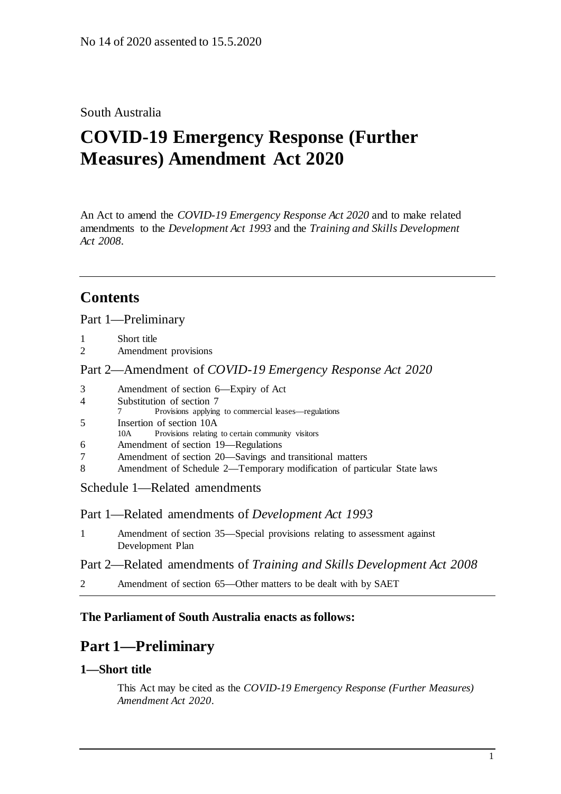## South Australia

# **COVID-19 Emergency Response (Further Measures) Amendment Act 2020**

An Act to amend the *[COVID-19 Emergency Response Act](http://www.legislation.sa.gov.au/index.aspx?action=legref&type=act&legtitle=COVID-19%20Emergency%20Response%20Act%202020) 2020* and to make related amendments to the *[Development Act](http://www.legislation.sa.gov.au/index.aspx?action=legref&type=act&legtitle=Development%20Act%201993) 1993* and the *[Training and Skills Development](http://www.legislation.sa.gov.au/index.aspx?action=legref&type=act&legtitle=Training%20and%20Skills%20Development%20Act%202008)  Act [2008](http://www.legislation.sa.gov.au/index.aspx?action=legref&type=act&legtitle=Training%20and%20Skills%20Development%20Act%202008)*.

## **Contents**

Part [1—Preliminary](#page-0-0)

- 1 [Short title](#page-0-1)
- 2 [Amendment provisions](#page-1-0)

Part 2—Amendment of *[COVID-19 Emergency Response Act 2020](#page-1-1)*

| 3 | Amendment of section 6—Expiry of Act                                    |
|---|-------------------------------------------------------------------------|
| 4 | Substitution of section 7                                               |
|   | Provisions applying to commercial leases—regulations                    |
| 5 | Insertion of section 10A                                                |
|   | Provisions relating to certain community visitors<br>10A                |
| 6 | Amendment of section 19—Regulations                                     |
| 7 | Amendment of section 20—Savings and transitional matters                |
| 8 | Amendment of Schedule 2—Temporary modification of particular State laws |
|   |                                                                         |

Schedule [1—Related amendments](#page-12-0)

Part 1—Related amendments of *Development Act 1993*

1 [Amendment of section 35—Special provisions relating to assessment against](#page-12-1)  [Development Plan](#page-12-1)

Part 2—Related amendments of *Training and Skills Development Act 2008*

2 [Amendment of section 65—Other matters to](#page-12-2) be dealt with by SAET

### <span id="page-0-0"></span>**The Parliament of South Australia enacts as follows:**

## **Part 1—Preliminary**

### <span id="page-0-1"></span>**1—Short title**

This Act may be cited as the *COVID-19 Emergency Response (Further Measures) Amendment Act 2020*.

1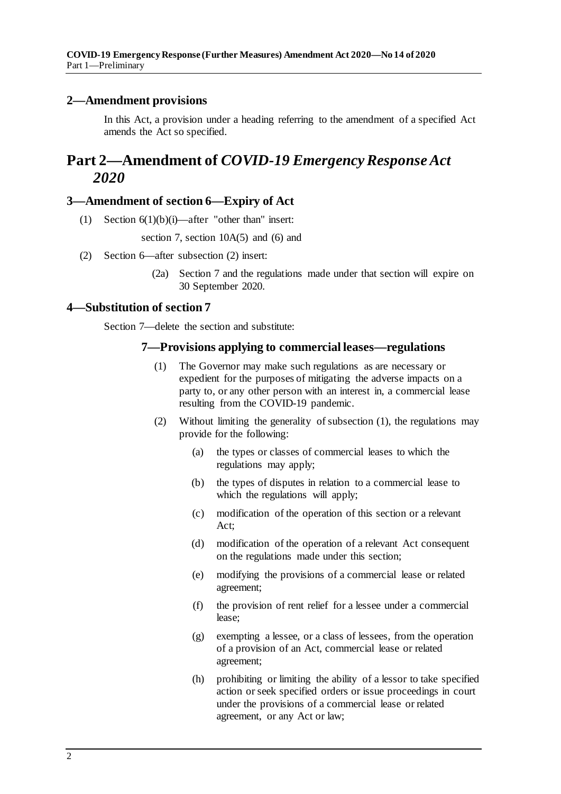### <span id="page-1-0"></span>**2—Amendment provisions**

In this Act, a provision under a heading referring to the amendment of a specified Act amends the Act so specified.

## <span id="page-1-1"></span>**Part 2—Amendment of** *COVID-19 Emergency Response Act 2020*

#### <span id="page-1-2"></span>**3—Amendment of section 6—Expiry of Act**

(1) Section  $6(1)(b)(i)$ —after "other than" insert:

section 7, section 10A(5) and (6) and

- (2) Section 6—after subsection (2) insert:
	- (2a) Section 7 and the regulations made under that section will expire on 30 September 2020.

#### <span id="page-1-3"></span>**4—Substitution of section 7**

<span id="page-1-4"></span>Section 7—delete the section and substitute:

#### **7—Provisions applying to commercial leases—regulations**

- (1) The Governor may make such regulations as are necessary or expedient for the purposes of mitigating the adverse impacts on a party to, or any other person with an interest in, a commercial lease resulting from the COVID-19 pandemic.
- (2) Without limiting the generality of [subsection](#page-1-4) (1), the regulations may provide for the following:
	- (a) the types or classes of commercial leases to which the regulations may apply;
	- (b) the types of disputes in relation to a commercial lease to which the regulations will apply;
	- (c) modification of the operation of this section or a relevant Act;
	- (d) modification of the operation of a relevant Act consequent on the regulations made under this section;
	- (e) modifying the provisions of a commercial lease or related agreement;
	- (f) the provision of rent relief for a lessee under a commercial lease;
	- (g) exempting a lessee, or a class of lessees, from the operation of a provision of an Act, commercial lease or related agreement;
	- (h) prohibiting or limiting the ability of a lessor to take specified action or seek specified orders or issue proceedings in court under the provisions of a commercial lease or related agreement, or any Act or law;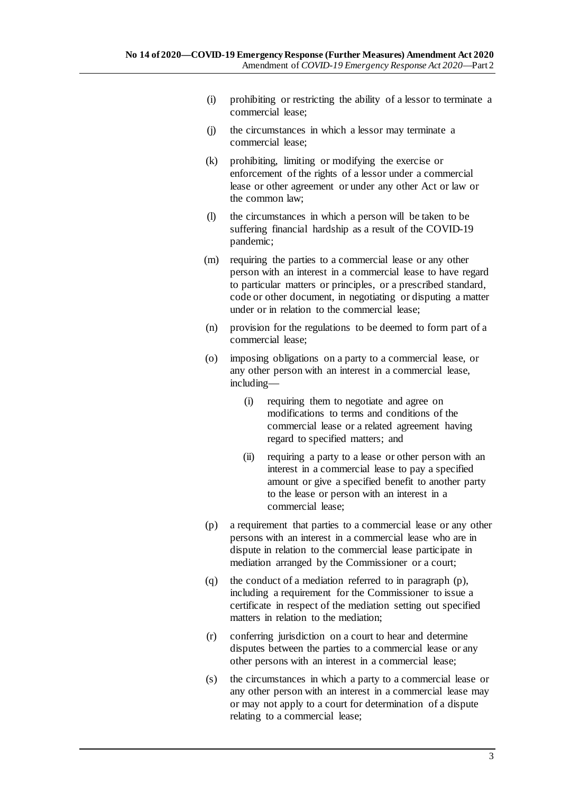- (i) prohibiting or restricting the ability of a lessor to terminate a commercial lease;
- (j) the circumstances in which a lessor may terminate a commercial lease;
- (k) prohibiting, limiting or modifying the exercise or enforcement of the rights of a lessor under a commercial lease or other agreement or under any other Act or law or the common law;
- (l) the circumstances in which a person will be taken to be suffering financial hardship as a result of the COVID-19 pandemic;
- (m) requiring the parties to a commercial lease or any other person with an interest in a commercial lease to have regard to particular matters or principles, or a prescribed standard, code or other document, in negotiating or disputing a matter under or in relation to the commercial lease;
- (n) provision for the regulations to be deemed to form part of a commercial lease;
- (o) imposing obligations on a party to a commercial lease, or any other person with an interest in a commercial lease, including—
	- (i) requiring them to negotiate and agree on modifications to terms and conditions of the commercial lease or a related agreement having regard to specified matters; and
	- (ii) requiring a party to a lease or other person with an interest in a commercial lease to pay a specified amount or give a specified benefit to another party to the lease or person with an interest in a commercial lease;
- <span id="page-2-0"></span>(p) a requirement that parties to a commercial lease or any other persons with an interest in a commercial lease who are in dispute in relation to the commercial lease participate in mediation arranged by the Commissioner or a court;
- (q) the conduct of a mediation referred to in [paragraph](#page-2-0) (p), including a requirement for the Commissioner to issue a certificate in respect of the mediation setting out specified matters in relation to the mediation;
- (r) conferring jurisdiction on a court to hear and determine disputes between the parties to a commercial lease or any other persons with an interest in a commercial lease;
- (s) the circumstances in which a party to a commercial lease or any other person with an interest in a commercial lease may or may not apply to a court for determination of a dispute relating to a commercial lease;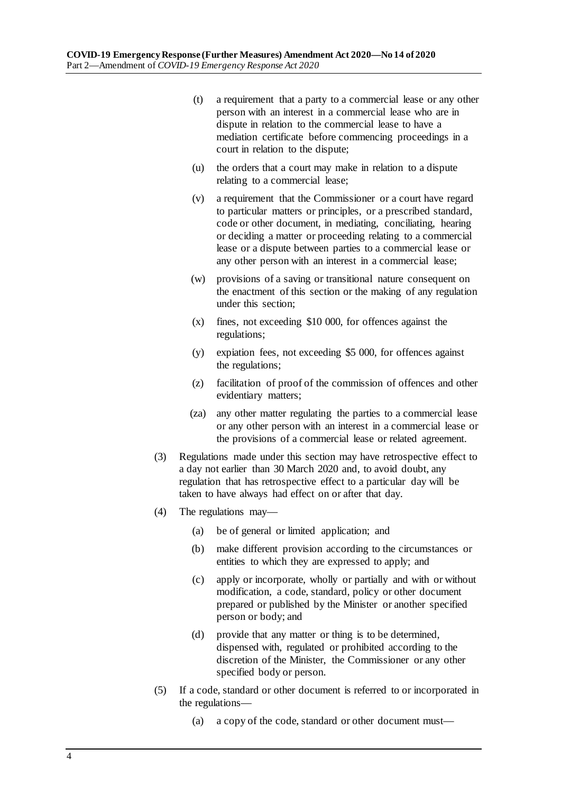- (t) a requirement that a party to a commercial lease or any other person with an interest in a commercial lease who are in dispute in relation to the commercial lease to have a mediation certificate before commencing proceedings in a court in relation to the dispute;
- (u) the orders that a court may make in relation to a dispute relating to a commercial lease;
- (v) a requirement that the Commissioner or a court have regard to particular matters or principles, or a prescribed standard, code or other document, in mediating, conciliating, hearing or deciding a matter or proceeding relating to a commercial lease or a dispute between parties to a commercial lease or any other person with an interest in a commercial lease;
- (w) provisions of a saving or transitional nature consequent on the enactment of this section or the making of any regulation under this section;
- (x) fines, not exceeding \$10 000, for offences against the regulations;
- (y) expiation fees, not exceeding \$5 000, for offences against the regulations;
- (z) facilitation of proof of the commission of offences and other evidentiary matters;
- (za) any other matter regulating the parties to a commercial lease or any other person with an interest in a commercial lease or the provisions of a commercial lease or related agreement.
- (3) Regulations made under this section may have retrospective effect to a day not earlier than 30 March 2020 and, to avoid doubt, any regulation that has retrospective effect to a particular day will be taken to have always had effect on or after that day.
- (4) The regulations may—
	- (a) be of general or limited application; and
	- (b) make different provision according to the circumstances or entities to which they are expressed to apply; and
	- (c) apply or incorporate, wholly or partially and with or without modification, a code, standard, policy or other document prepared or published by the Minister or another specified person or body; and
	- (d) provide that any matter or thing is to be determined, dispensed with, regulated or prohibited according to the discretion of the Minister, the Commissioner or any other specified body or person.
- (5) If a code, standard or other document is referred to or incorporated in the regulations—
	- (a) a copy of the code, standard or other document must—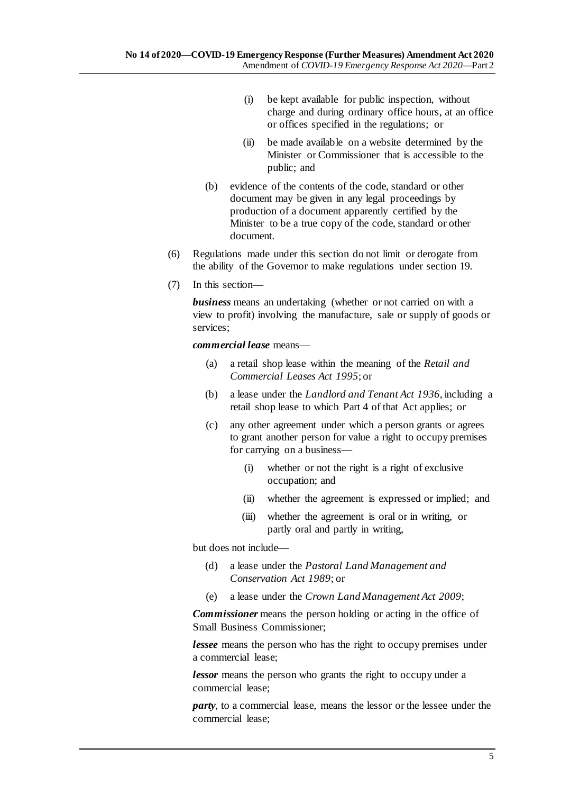- (i) be kept available for public inspection, without charge and during ordinary office hours, at an office or offices specified in the regulations; or
- (ii) be made available on a website determined by the Minister or Commissioner that is accessible to the public; and
- (b) evidence of the contents of the code, standard or other document may be given in any legal proceedings by production of a document apparently certified by the Minister to be a true copy of the code, standard or other document.
- (6) Regulations made under this section do not limit or derogate from the ability of the Governor to make regulations under section 19.
- (7) In this section—

*business* means an undertaking (whether or not carried on with a view to profit) involving the manufacture, sale or supply of goods or services;

*commercial lease* means—

- (a) a retail shop lease within the meaning of the *[Retail and](http://www.legislation.sa.gov.au/index.aspx?action=legref&type=act&legtitle=Retail%20and%20Commercial%20Leases%20Act%201995)  [Commercial Leases Act](http://www.legislation.sa.gov.au/index.aspx?action=legref&type=act&legtitle=Retail%20and%20Commercial%20Leases%20Act%201995) 1995*; or
- (b) a lease under the *[Landlord and Tenant Act](http://www.legislation.sa.gov.au/index.aspx?action=legref&type=act&legtitle=Landlord%20and%20Tenant%20Act%201936) 1936*, including a retail shop lease to which Part 4 of that Act applies; or
- (c) any other agreement under which a person grants or agrees to grant another person for value a right to occupy premises for carrying on a business—
	- (i) whether or not the right is a right of exclusive occupation; and
	- (ii) whether the agreement is expressed or implied; and
	- (iii) whether the agreement is oral or in writing, or partly oral and partly in writing,

but does not include—

- (d) a lease under the *[Pastoral Land Management and](http://www.legislation.sa.gov.au/index.aspx?action=legref&type=act&legtitle=Pastoral%20Land%20Management%20and%20Conservation%20Act%201989)  [Conservation Act](http://www.legislation.sa.gov.au/index.aspx?action=legref&type=act&legtitle=Pastoral%20Land%20Management%20and%20Conservation%20Act%201989) 1989*; or
- (e) a lease under the *[Crown Land Management Act](http://www.legislation.sa.gov.au/index.aspx?action=legref&type=act&legtitle=Crown%20Land%20Management%20Act%202009) 2009*;

*Commissioner* means the person holding or acting in the office of Small Business Commissioner;

*lessee* means the person who has the right to occupy premises under a commercial lease;

*lessor* means the person who grants the right to occupy under a commercial lease;

*party*, to a commercial lease, means the lessor or the lessee under the commercial lease;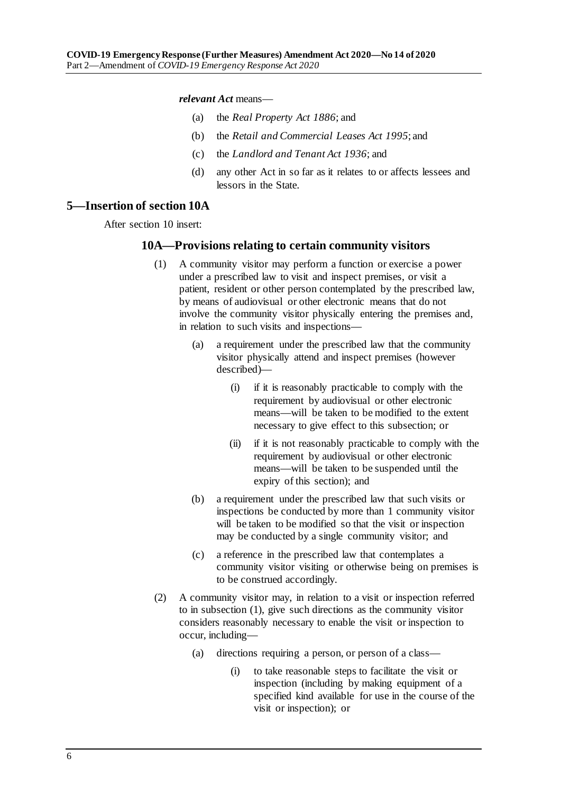*relevant Act* means—

- (a) the *[Real Property Act](http://www.legislation.sa.gov.au/index.aspx?action=legref&type=act&legtitle=Real%20Property%20Act%201886) 1886*; and
- (b) the *[Retail and Commercial Leases Act](http://www.legislation.sa.gov.au/index.aspx?action=legref&type=act&legtitle=Retail%20and%20Commercial%20Leases%20Act%201995) 1995*; and
- (c) the *[Landlord and Tenant Act](http://www.legislation.sa.gov.au/index.aspx?action=legref&type=act&legtitle=Landlord%20and%20Tenant%20Act%201936) 1936*; and
- (d) any other Act in so far as it relates to or affects lessees and lessors in the State.

#### <span id="page-5-0"></span>**5—Insertion of section 10A**

<span id="page-5-1"></span>After section 10 insert:

#### **10A—Provisions relating to certain community visitors**

- (1) A community visitor may perform a function or exercise a power under a prescribed law to visit and inspect premises, or visit a patient, resident or other person contemplated by the prescribed law, by means of audiovisual or other electronic means that do not involve the community visitor physically entering the premises and, in relation to such visits and inspections—
	- (a) a requirement under the prescribed law that the community visitor physically attend and inspect premises (however described)—
		- (i) if it is reasonably practicable to comply with the requirement by audiovisual or other electronic means—will be taken to be modified to the extent necessary to give effect to this subsection; or
		- (ii) if it is not reasonably practicable to comply with the requirement by audiovisual or other electronic means—will be taken to be suspended until the expiry of this section); and
	- (b) a requirement under the prescribed law that such visits or inspections be conducted by more than 1 community visitor will be taken to be modified so that the visit or inspection may be conducted by a single community visitor; and
	- (c) a reference in the prescribed law that contemplates a community visitor visiting or otherwise being on premises is to be construed accordingly.
- <span id="page-5-2"></span>(2) A community visitor may, in relation to a visit or inspection referred to in [subsection](#page-5-1) (1), give such directions as the community visitor considers reasonably necessary to enable the visit or inspection to occur, including—
	- (a) directions requiring a person, or person of a class—
		- (i) to take reasonable steps to facilitate the visit or inspection (including by making equipment of a specified kind available for use in the course of the visit or inspection); or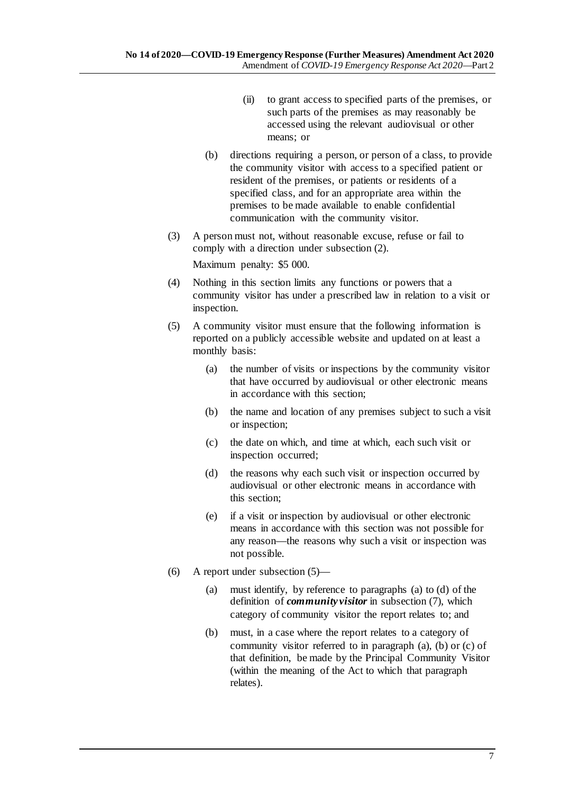- (ii) to grant access to specified parts of the premises, or such parts of the premises as may reasonably be accessed using the relevant audiovisual or other means; or
- (b) directions requiring a person, or person of a class, to provide the community visitor with access to a specified patient or resident of the premises, or patients or residents of a specified class, and for an appropriate area within the premises to be made available to enable confidential communication with the community visitor.
- (3) A person must not, without reasonable excuse, refuse or fail to comply with a direction under [subsection](#page-5-2) (2).

Maximum penalty: \$5 000.

- (4) Nothing in this section limits any functions or powers that a community visitor has under a prescribed law in relation to a visit or inspection.
- <span id="page-6-0"></span>(5) A community visitor must ensure that the following information is reported on a publicly accessible website and updated on at least a monthly basis:
	- (a) the number of visits or inspections by the community visitor that have occurred by audiovisual or other electronic means in accordance with this section;
	- (b) the name and location of any premises subject to such a visit or inspection;
	- (c) the date on which, and time at which, each such visit or inspection occurred;
	- (d) the reasons why each such visit or inspection occurred by audiovisual or other electronic means in accordance with this section;
	- (e) if a visit or inspection by audiovisual or other electronic means in accordance with this section was not possible for any reason—the reasons why such a visit or inspection was not possible.
- (6) A report under [subsection](#page-6-0) (5)—
	- (a) must identify, by reference to [paragraphs](#page-7-2) (a) to [\(d\)](#page-7-3) of the definition of *community visitor* in [subsection](#page-7-4) (7), which category of community visitor the report relates to; and
	- (b) must, in a case where the report relates to a category of community visitor referred to in [paragraph](#page-7-2) (a), [\(b\)](#page-7-5) or [\(c\)](#page-7-6) of that definition, be made by the Principal Community Visitor (within the meaning of the Act to which that paragraph relates).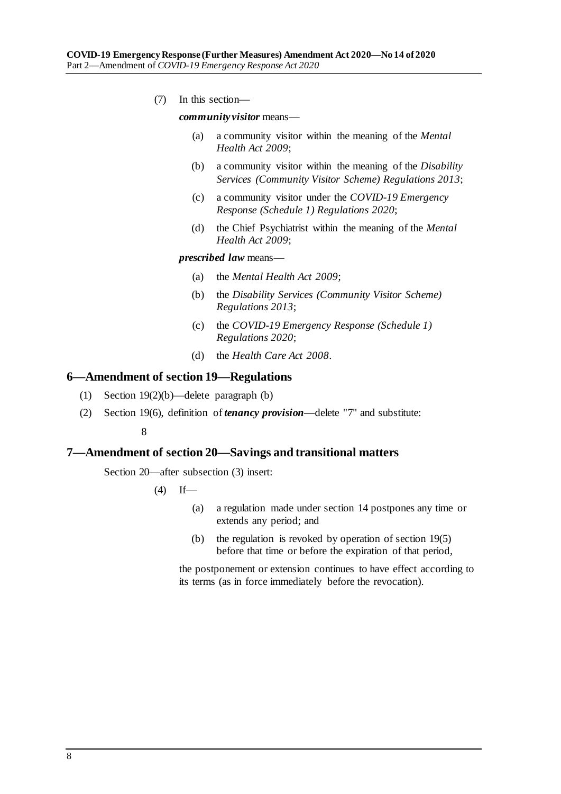<span id="page-7-6"></span><span id="page-7-5"></span><span id="page-7-4"></span><span id="page-7-2"></span>(7) In this section—

*community visitor* means—

- (a) a community visitor within the meaning of the *[Mental](http://www.legislation.sa.gov.au/index.aspx?action=legref&type=act&legtitle=Mental%20Health%20Act%202009)  [Health Act](http://www.legislation.sa.gov.au/index.aspx?action=legref&type=act&legtitle=Mental%20Health%20Act%202009) 2009*;
- (b) a community visitor within the meaning of the *[Disability](http://www.legislation.sa.gov.au/index.aspx?action=legref&type=subordleg&legtitle=Disability%20Services%20(Community%20Visitor%20Scheme)%20Regulations%202013)  [Services \(Community Visitor Scheme\) Regulations](http://www.legislation.sa.gov.au/index.aspx?action=legref&type=subordleg&legtitle=Disability%20Services%20(Community%20Visitor%20Scheme)%20Regulations%202013) 2013*;
- (c) a community visitor under the *[COVID-19 Emergency](http://www.legislation.sa.gov.au/index.aspx?action=legref&type=subordleg&legtitle=COVID-19%20Emergency%20Response%20(Schedule%201)%20Regulations%202020)  [Response \(Schedule 1\) Regulations 2020](http://www.legislation.sa.gov.au/index.aspx?action=legref&type=subordleg&legtitle=COVID-19%20Emergency%20Response%20(Schedule%201)%20Regulations%202020)*;
- (d) the Chief Psychiatrist within the meaning of the *[Mental](http://www.legislation.sa.gov.au/index.aspx?action=legref&type=act&legtitle=Mental%20Health%20Act%202009)  [Health Act](http://www.legislation.sa.gov.au/index.aspx?action=legref&type=act&legtitle=Mental%20Health%20Act%202009) 2009*;

#### <span id="page-7-3"></span>*prescribed law* means—

- (a) the *[Mental Health Act 2009](http://www.legislation.sa.gov.au/index.aspx?action=legref&type=act&legtitle=Mental%20Health%20Act%202009)*;
- (b) the *[Disability Services \(Community Visitor Scheme\)](http://www.legislation.sa.gov.au/index.aspx?action=legref&type=subordleg&legtitle=Disability%20Services%20(Community%20Visitor%20Scheme)%20Regulations%202013)  [Regulations](http://www.legislation.sa.gov.au/index.aspx?action=legref&type=subordleg&legtitle=Disability%20Services%20(Community%20Visitor%20Scheme)%20Regulations%202013) 2013*;
- (c) the *[COVID-19 Emergency Response \(Schedule 1\)](http://www.legislation.sa.gov.au/index.aspx?action=legref&type=subordleg&legtitle=COVID-19%20Emergency%20Response%20(Schedule%201)%20Regulations%202020)  [Regulations 2020](http://www.legislation.sa.gov.au/index.aspx?action=legref&type=subordleg&legtitle=COVID-19%20Emergency%20Response%20(Schedule%201)%20Regulations%202020)*;
- (d) the *[Health Care Act](http://www.legislation.sa.gov.au/index.aspx?action=legref&type=act&legtitle=Health%20Care%20Act%202008) 2008*.

#### <span id="page-7-0"></span>**6—Amendment of section 19—Regulations**

- (1) Section 19(2)(b)—delete paragraph (b)
- (2) Section 19(6), definition of *tenancy provision*—delete "7" and substitute:

8

#### <span id="page-7-1"></span>**7—Amendment of section 20—Savings and transitional matters**

Section 20—after subsection (3) insert:

 $(4)$  If—

- (a) a regulation made under section 14 postpones any time or extends any period; and
- (b) the regulation is revoked by operation of section 19(5) before that time or before the expiration of that period,

the postponement or extension continues to have effect according to its terms (as in force immediately before the revocation).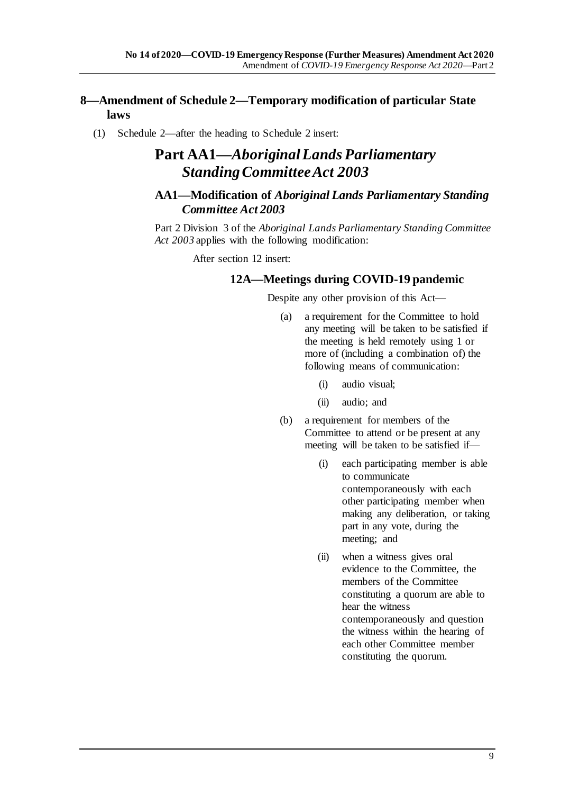### <span id="page-8-0"></span>**8—Amendment of Schedule 2—Temporary modification of particular State laws**

(1) Schedule 2—after the heading to Schedule 2 insert:

## **Part AA1—***Aboriginal Lands Parliamentary Standing Committee Act 2003*

### **AA1—Modification of** *Aboriginal Lands Parliamentary Standing Committee Act 2003*

Part 2 Division 3 of the *[Aboriginal Lands Parliamentary Standing Committee](http://www.legislation.sa.gov.au/index.aspx?action=legref&type=act&legtitle=Aboriginal%20Lands%20Parliamentary%20Standing%20Committee%20Act%202003)  Act [2003](http://www.legislation.sa.gov.au/index.aspx?action=legref&type=act&legtitle=Aboriginal%20Lands%20Parliamentary%20Standing%20Committee%20Act%202003)* applies with the following modification:

After section 12 insert:

#### **12A—Meetings during COVID-19 pandemic**

Despite any other provision of this Act—

- (a) a requirement for the Committee to hold any meeting will be taken to be satisfied if the meeting is held remotely using 1 or more of (including a combination of) the following means of communication:
	- (i) audio visual;
	- (ii) audio; and
- (b) a requirement for members of the Committee to attend or be present at any meeting will be taken to be satisfied if—
	- (i) each participating member is able to communicate contemporaneously with each other participating member when making any deliberation, or taking part in any vote, during the meeting; and
	- (ii) when a witness gives oral evidence to the Committee, the members of the Committee constituting a quorum are able to hear the witness contemporaneously and question the witness within the hearing of each other Committee member constituting the quorum.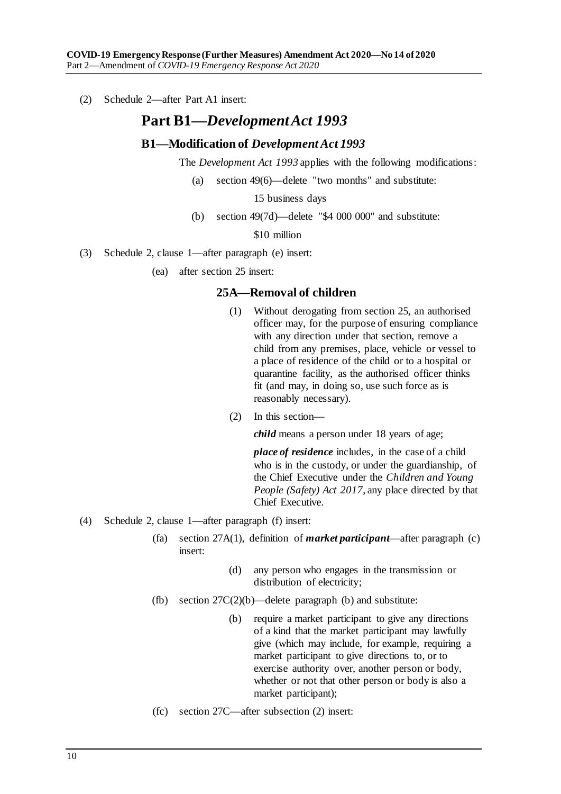(2) Schedule 2—after Part A1 insert:

## **Part B1—***Development Act 1993*

#### **B1—Modification of** *Development Act 1993*

The *[Development Act](http://www.legislation.sa.gov.au/index.aspx?action=legref&type=act&legtitle=Development%20Act%201993) 1993* applies with the following modifications:

(a) section 49(6)—delete "two months" and substitute:

15 business days

(b) section 49(7d)—delete "\$4 000 000" and substitute:

\$10 million

(3) Schedule 2, clause 1—after paragraph (e) insert:

(ea) after section 25 insert:

#### **25A—Removal of children**

- (1) Without derogating from section 25, an authorised officer may, for the purpose of ensuring compliance with any direction under that section, remove a child from any premises, place, vehicle or vessel to a place of residence of the child or to a hospital or quarantine facility, as the authorised officer thinks fit (and may, in doing so, use such force as is reasonably necessary).
- (2) In this section—

*child* means a person under 18 years of age;

*place of residence* includes, in the case of a child who is in the custody, or under the guardianship, of the Chief Executive under the *[Children and Young](http://www.legislation.sa.gov.au/index.aspx?action=legref&type=act&legtitle=Children%20and%20Young%20People%20(Safety)%20Act%202017)  [People \(Safety\) Act](http://www.legislation.sa.gov.au/index.aspx?action=legref&type=act&legtitle=Children%20and%20Young%20People%20(Safety)%20Act%202017) 2017*, any place directed by that Chief Executive.

- (4) Schedule 2, clause 1—after paragraph (f) insert:
	- (fa) section 27A(1), definition of *market participant*—after paragraph (c) insert:
		- (d) any person who engages in the transmission or distribution of electricity;
	- (fb) section  $27C(2)(b)$ —delete paragraph (b) and substitute:
		- (b) require a market participant to give any directions of a kind that the market participant may lawfully give (which may include, for example, requiring a market participant to give directions to, or to exercise authority over, another person or body, whether or not that other person or body is also a market participant);
	- (fc) section 27C—after subsection (2) insert: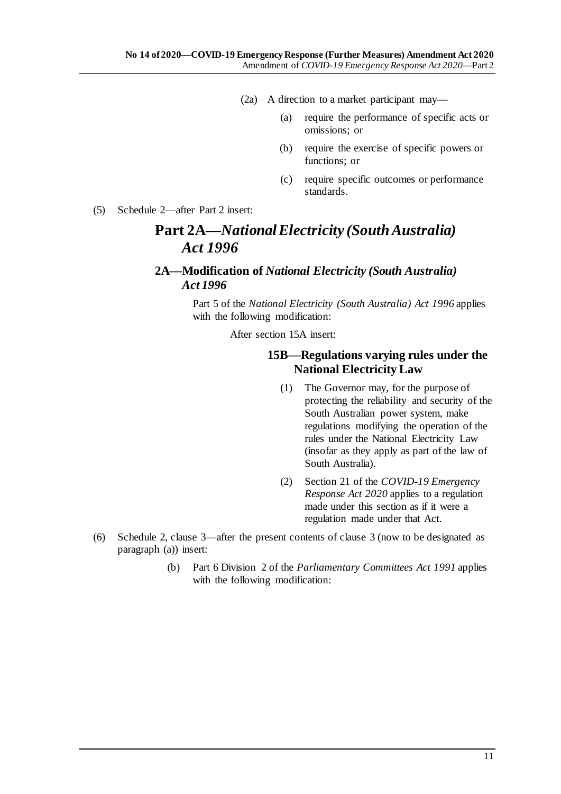- (2a) A direction to a market participant may—
	- (a) require the performance of specific acts or omissions; or
	- (b) require the exercise of specific powers or functions; or
	- (c) require specific outcomes or performance standards.
- (5) Schedule 2—after Part 2 insert:

## **Part 2A—***National Electricity (South Australia) Act 1996*

### **2A—Modification of** *National Electricity (South Australia) Act 1996*

Part 5 of the *[National Electricity \(South Australia\) Act](http://www.legislation.sa.gov.au/index.aspx?action=legref&type=act&legtitle=National%20Electricity%20(South%20Australia)%20Act%201996) 1996* applies with the following modification:

After section 15A insert:

### **15B—Regulations varying rules under the National Electricity Law**

- (1) The Governor may, for the purpose of protecting the reliability and security of the South Australian power system, make regulations modifying the operation of the rules under the National Electricity Law (insofar as they apply as part of the law of South Australia).
- (2) Section 21 of the *[COVID-19 Emergency](http://www.legislation.sa.gov.au/index.aspx?action=legref&type=act&legtitle=COVID-19%20Emergency%20Response%20Act%202020)  [Response Act 2020](http://www.legislation.sa.gov.au/index.aspx?action=legref&type=act&legtitle=COVID-19%20Emergency%20Response%20Act%202020)* applies to a regulation made under this section as if it were a regulation made under that Act.
- (6) Schedule 2, clause 3—after the present contents of clause 3 (now to be designated as paragraph (a)) insert:
	- (b) Part 6 Division 2 of the *[Parliamentary Committees Act](http://www.legislation.sa.gov.au/index.aspx?action=legref&type=act&legtitle=Parliamentary%20Committees%20Act%201991) 1991* applies with the following modification: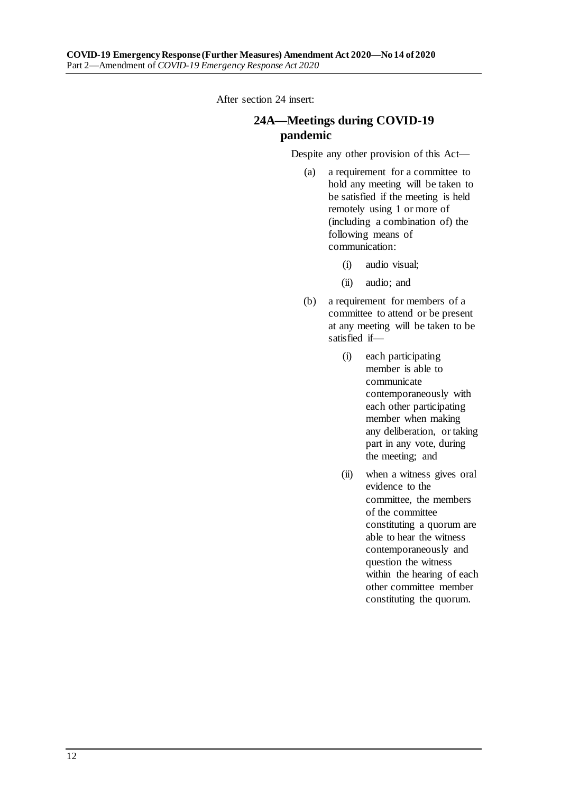After section 24 insert:

## **24A—Meetings during COVID-19 pandemic**

Despite any other provision of this Act—

- (a) a requirement for a committee to hold any meeting will be taken to be satisfied if the meeting is held remotely using 1 or more of (including a combination of) the following means of communication:
	- (i) audio visual;
	- (ii) audio; and
- (b) a requirement for members of a committee to attend or be present at any meeting will be taken to be satisfied if—
	- (i) each participating member is able to communicate contemporaneously with each other participating member when making any deliberation, or taking part in any vote, during the meeting; and
	- (ii) when a witness gives oral evidence to the committee, the members of the committee constituting a quorum are able to hear the witness contemporaneously and question the witness within the hearing of each other committee member constituting the quorum.